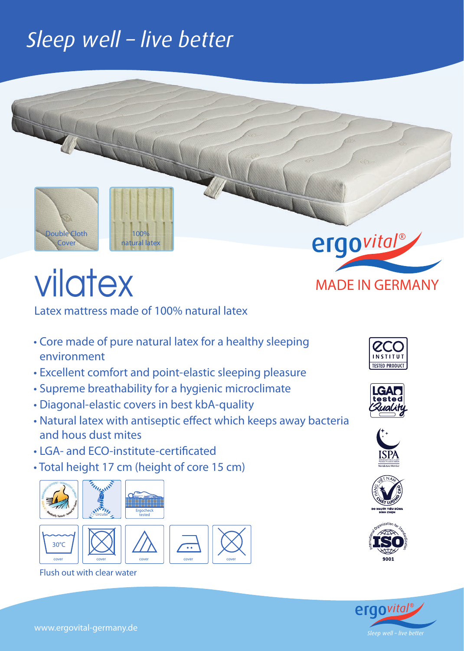# Sleep well - live better



# VIOTEX MADE IN GERMANY

Latex mattress made of 100% natural latex

- Core made of pure natural latex for a healthy sleeping environment
- Excellent comfort and point-elastic sleeping pleasure
- Supreme breathability for a hygienic microclimate

cover || cover || cover || cover

- Diagonal-elastic covers in best kbA-quality
- Natural latex with antiseptic effect which keeps away bacteria and hous dust mites
- LGA- and ECO-institute-certificated
- Total height 17 cm (height of core 15 cm)



Flush out with clear water

cover